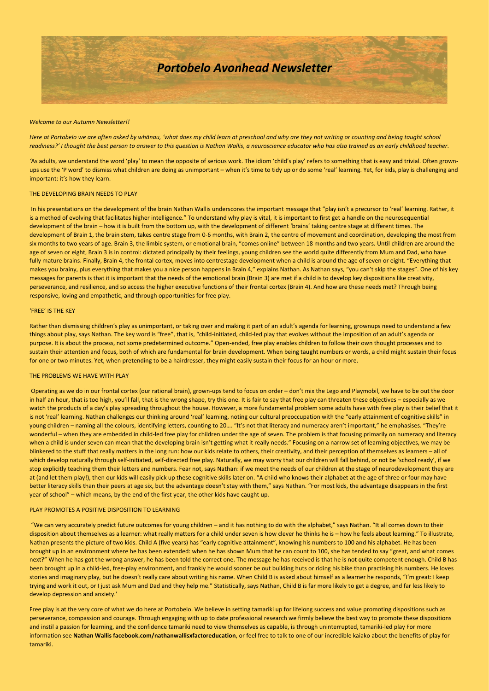

#### *Welcome to our Autumn Newsletter!!*

*Here at Portobelo we are often asked by whānau, 'what does my child learn at preschool and why are they not writing or counting and being taught school readiness?' I thought the best person to answer to this question is Nathan Wallis, a neuroscience educator who has also trained as an early childhood teacher.* 

*'*As adults, we understand the word 'play' to mean the opposite of serious work. The idiom 'child's play' refers to something that is easy and trivial. Often grownups use the 'P word' to dismiss what children are doing as unimportant – when it's time to tidy up or do some 'real' learning. Yet, for kids, play is challenging and important: it's how they learn.

### THE DEVELOPING BRAIN NEEDS TO PLAY

In his presentations on the development of the brain Nathan Wallis underscores the important message that "play isn't a precursor to 'real' learning. Rather, it is a method of evolving that facilitates higher intelligence." To understand why play is vital, it is important to first get a handle on the neurosequential development of the brain – how it is built from the bottom up, with the development of different 'brains' taking centre stage at different times. The development of Brain 1, the brain stem, takes centre stage from 0-6 months, with Brain 2, the centre of movement and coordination, developing the most from six months to two years of age. Brain 3, the limbic system, or emotional brain, "comes online" between 18 months and two years. Until children are around the age of seven or eight, Brain 3 is in control: dictated principally by their feelings, young children see the world quite differently from Mum and Dad, who have fully mature brains. Finally, Brain 4, the frontal cortex, moves into centrestage development when a child is around the age of seven or eight. "Everything that makes you brainy, plus everything that makes you a nice person happens in Brain 4," explains Nathan. As Nathan says, "you can't skip the stages". One of his key messages for parents is that it is important that the needs of the emotional brain (Brain 3) are met if a child is to develop key dispositions like creativity, perseverance, and resilience, and so access the higher executive functions of their frontal cortex (Brain 4). And how are these needs met? Through being responsive, loving and empathetic, and through opportunities for free play.

#### 'FREE' IS THE KEY

Rather than dismissing children's play as unimportant, or taking over and making it part of an adult's agenda for learning, grownups need to understand a few things about play, says Nathan. The key word is "free", that is, "child-initiated, child-led play that evolves without the imposition of an adult's agenda or purpose. It is about the process, not some predetermined outcome." Open-ended, free play enables children to follow their own thought processes and to sustain their attention and focus, both of which are fundamental for brain development. When being taught numbers or words, a child might sustain their focus for one or two minutes. Yet, when pretending to be a hairdresser, they might easily sustain their focus for an hour or more.

#### THE PROBLEMS WE HAVE WITH PLAY

Operating as we do in our frontal cortex (our rational brain), grown-ups tend to focus on order – don't mix the Lego and Playmobil, we have to be out the door in half an hour, that is too high, you'll fall, that is the wrong shape, try this one. It is fair to say that free play can threaten these objectives - especially as we watch the products of a day's play spreading throughout the house. However, a more fundamental problem some adults have with free play is their belief that it is not 'real' learning. Nathan challenges our thinking around 'real' learning, noting our cultural preoccupation with the "early attainment of cognitive skills" in young children – naming all the colours, identifying letters, counting to 20…. "It's not that literacy and numeracy aren't important," he emphasises. "They're wonderful – when they are embedded in child-led free play for children under the age of seven. The problem is that focusing primarily on numeracy and literacy when a child is under seven can mean that the developing brain isn't getting what it really needs." Focusing on a narrow set of learning objectives, we may be blinkered to the stuff that really matters in the long run: how our kids relate to others, their creativity, and their perception of themselves as learners - all of which develop naturally through self-initiated, self-directed free play. Naturally, we may worry that our children will fall behind, or not be 'school ready', if we stop explicitly teaching them their letters and numbers. Fear not, says Nathan: if we meet the needs of our children at the stage of neurodevelopment they are at (and let them play!), then our kids will easily pick up these cognitive skills later on. "A child who knows their alphabet at the age of three or four may have better literacy skills than their peers at age six, but the advantage doesn't stay with them," says Nathan. "For most kids, the advantage disappears in the first year of school" – which means, by the end of the first year, the other kids have caught up.

### PLAY PROMOTES A POSITIVE DISPOSITION TO LEARNING

"We can very accurately predict future outcomes for young children – and it has nothing to do with the alphabet," says Nathan. "It all comes down to their disposition about themselves as a learner: what really matters for a child under seven is how clever he thinks he is - how he feels about learning." To illustrate, Nathan presents the picture of two kids. Child A (five years) has "early cognitive attainment", knowing his numbers to 100 and his alphabet. He has been brought up in an environment where he has been extended: when he has shown Mum that he can count to 100, she has tended to say "great, and what comes next?" When he has got the wrong answer, he has been told the correct one. The message he has received is that he is not quite competent enough. Child B has been brought up in a child-led, free-play environment, and frankly he would sooner be out building huts or riding his bike than practising his numbers. He loves stories and imaginary play, but he doesn't really care about writing his name. When Child B is asked about himself as a learner he responds, "I'm great: I keep trying and work it out, or I just ask Mum and Dad and they help me." Statistically, says Nathan, Child B is far more likely to get a degree, and far less likely to develop depression and anxiety.'

Free play is at the very core of what we do here at Portobelo. We believe in setting tamariki up for lifelong success and value promoting dispositions such as perseverance, compassion and courage. Through engaging with up to date professional research we firmly believe the best way to promote these dispositions and instil a passion for learning, and the confidence tamariki need to view themselves as capable, is through uninterrupted, tamariki-led play For more information see **Nathan Wallis facebook.com/nathanwallisxfactoreducation**, or feel free to talk to one of our incredible kaiako about the benefits of play for tamariki.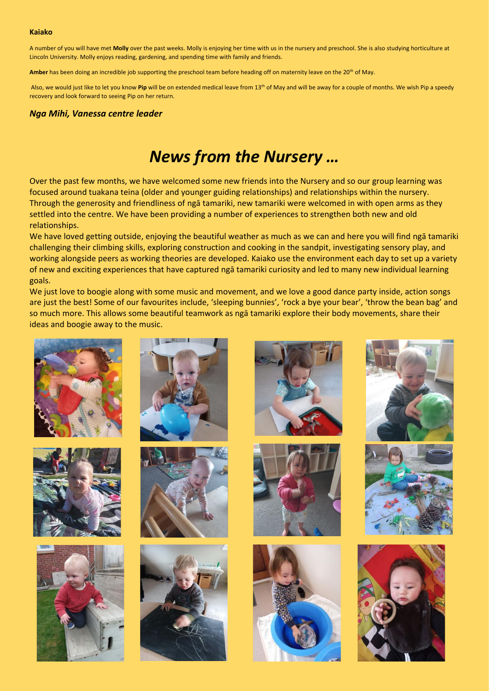A number of you will have met **Molly** over the past weeks. Molly is enjoying her time with us in the nursery and preschool. She is also studying horticulture at Lincoln University. Molly enjoys reading, gardening, and spending time with family and friends.

Amber has been doing an incredible job supporting the preschool team before heading off on maternity leave on the 20<sup>th</sup> of May.

Also, we would just like to let you know Pip will be on extended medical leave from 13<sup>th</sup> of May and will be away for a couple of months. We wish Pip a speedy recovery and look forward to seeing Pip on her return.

### *Nga Mihi, Vanessa centre leader*

# *News from the Nursery …*

Over the past few months, we have welcomed some new friends into the Nursery and so our group learning was focused around tuakana teina (older and younger guiding relationships) and relationships within the nursery. Through the generosity and friendliness of ngā tamariki, new tamariki were welcomed in with open arms as they settled into the centre. We have been providing a number of experiences to strengthen both new and old relationships.

We have loved getting outside, enjoying the beautiful weather as much as we can and here you will find ngā tamariki challenging their climbing skills, exploring construction and cooking in the sandpit, investigating sensory play, and working alongside peers as working theories are developed. Kaiako use the environment each day to set up a variety of new and exciting experiences that have captured ngā tamariki curiosity and led to many new individual learning goals.

We just love to boogie along with some music and movement, and we love a good dance party inside, action songs are just the best! Some of our favourites include, 'sleeping bunnies', 'rock a bye your bear', 'throw the bean bag' and so much more. This allows some beautiful teamwork as ngā tamariki explore their body movements, share their ideas and boogie away to the music.























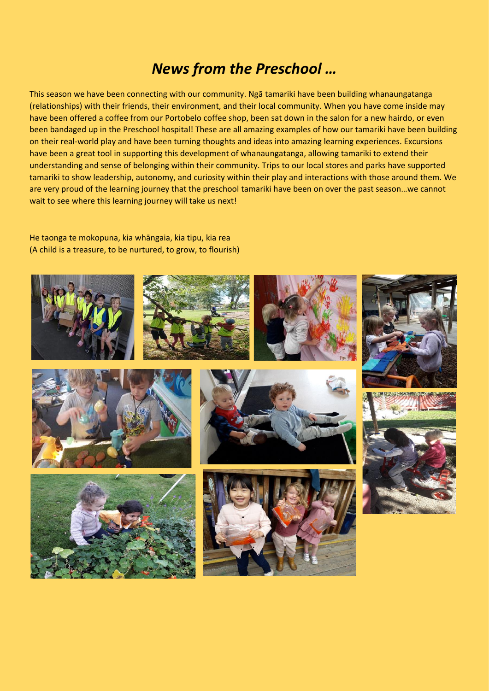## *News from the Preschool …*

This season we have been connecting with our community. Ngā tamariki have been building whanaungatanga (relationships) with their friends, their environment, and their local community. When you have come inside may have been offered a coffee from our Portobelo coffee shop, been sat down in the salon for a new hairdo, or even been bandaged up in the Preschool hospital! These are all amazing examples of how our tamariki have been building on their real-world play and have been turning thoughts and ideas into amazing learning experiences. Excursions have been a great tool in supporting this development of whanaungatanga, allowing tamariki to extend their understanding and sense of belonging within their community. Trips to our local stores and parks have supported tamariki to show leadership, autonomy, and curiosity within their play and interactions with those around them. We are very proud of the learning journey that the preschool tamariki have been on over the past season…we cannot wait to see where this learning journey will take us next!

He taonga te mokopuna, kia whāngaia, kia tipu, kia rea (A child is a treasure, to be nurtured, to grow, to flourish)

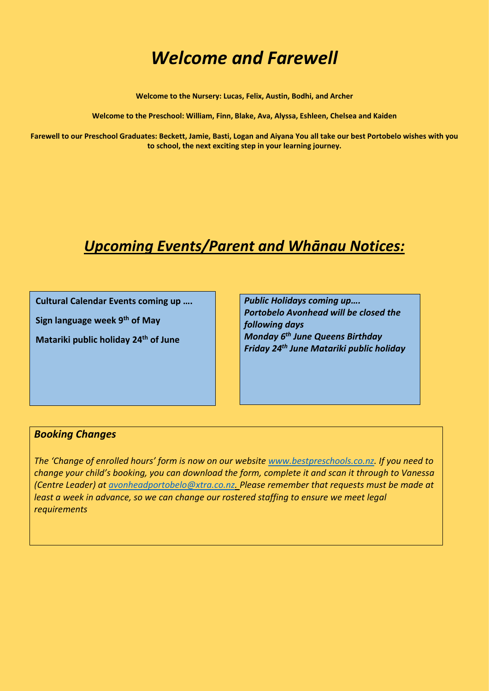# *Welcome and Farewell*

**Welcome to the Nursery: Lucas, Felix, Austin, Bodhi, and Archer** 

**Welcome to the Preschool: William, Finn, Blake, Ava, Alyssa, Eshleen, Chelsea and Kaiden**

**Farewell to our Preschool Graduates: Beckett, Jamie, Basti, Logan and Aiyana You all take our best Portobelo wishes with you to school, the next exciting step in your learning journey.**

## *Upcoming Events/Parent and Whānau Notices:*

**Cultural Calendar Events coming up ….**

**Sign language week 9th of May** 

**Matariki public holiday 24th of June** 

*Public Holidays coming up…. Portobelo Avonhead will be closed the following days Monday 6 th June Queens Birthday Friday 24th June Matariki public holiday*

### *Booking Changes*

*The 'Change of enrolled hours' form is now on our website [www.bestpreschools.co.nz.](http://www.bestpreschools.co.nz/) If you need to change your child's booking, you can download the form, complete it and scan it through to Vanessa (Centre Leader) at [avonheadportobelo@xtra.co.nz.](mailto:avonheadportobelo@xtra.co.nz) Please remember that requests must be made at least a week in advance, so we can change our rostered staffing to ensure we meet legal requirements*